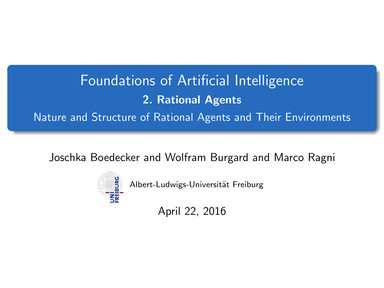# Foundations of Artificial Intelligence 2. Rational Agents Nature and Structure of Rational Agents and Their Environments

<span id="page-0-0"></span>Joschka Boedecker and Wolfram Burgard and Marco Ragni



Albert-Ludwigs-Universität Freiburg

April 22, 2016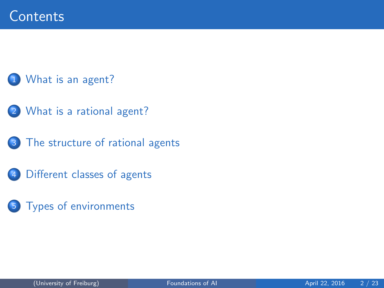### [What is an agent?](#page-2-0)

- 2 [What is a rational agent?](#page-3-0)
	- [The structure of rational agents](#page-7-0)
- 4 [Different classes of agents](#page-8-0)
- 5 [Types of environments](#page-20-0)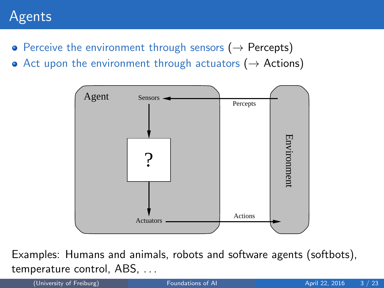## Agents

- Perceive the environment through sensors ( $\rightarrow$  Percepts)
- Act upon the environment through actuators ( $\rightarrow$  Actions)



Examples: Humans and animals, robots and software agents (softbots), temperature control, ABS, . . .

<span id="page-2-0"></span>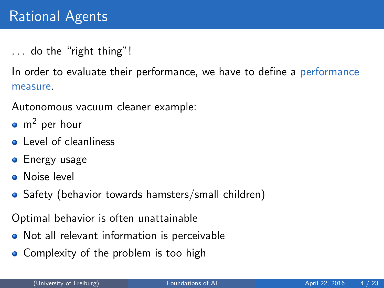... do the "right thing"!

In order to evaluate their performance, we have to define a performance measure.

Autonomous vacuum cleaner example:

- $\bullet$  m<sup>2</sup> per hour
- **Q** Level of cleanliness
- **•** Energy usage
- **O** Noise level
- Safety (behavior towards hamsters/small children)

Optimal behavior is often unattainable

- Not all relevant information is perceivable
- <span id="page-3-0"></span>• Complexity of the problem is too high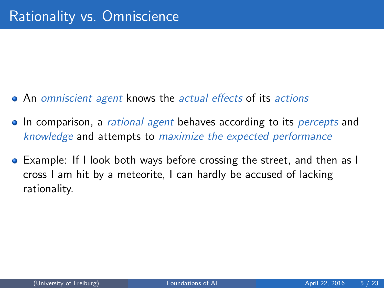- An omniscient agent knows the actual effects of its actions
- In comparison, a *rational agent* behaves according to its *percepts* and knowledge and attempts to maximize the expected performance
- Example: If I look both ways before crossing the street, and then as I cross I am hit by a meteorite, I can hardly be accused of lacking rationality.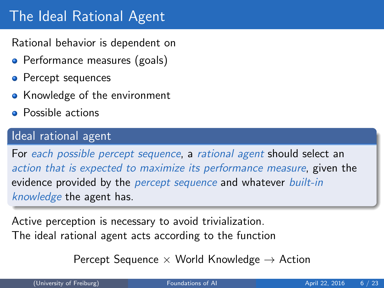# The Ideal Rational Agent

Rational behavior is dependent on

- Performance measures (goals)
- Percept sequences
- Knowledge of the environment
- Possible actions

### Ideal rational agent

For each possible percept sequence, a rational agent should select an action that is expected to maximize its performance measure, given the evidence provided by the *percept sequence* and whatever *built-in* knowledge the agent has.

Active perception is necessary to avoid trivialization. The ideal rational agent acts according to the function

Percept Sequence  $\times$  World Knowledge  $\rightarrow$  Action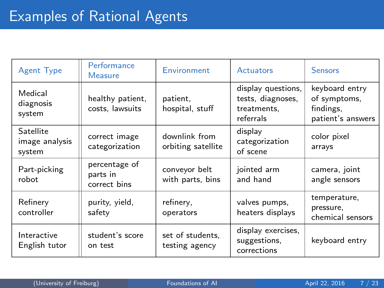| <b>Agent Type</b>                     | Performance<br><b>Measure</b>             | Environment                         | Actuators                                                           | <b>Sensors</b>                                                   |  |
|---------------------------------------|-------------------------------------------|-------------------------------------|---------------------------------------------------------------------|------------------------------------------------------------------|--|
| Medical<br>diagnosis<br>system        | healthy patient,<br>costs, lawsuits       | patient.<br>hospital, stuff         | display questions,<br>tests, diagnoses,<br>treatments,<br>referrals | keyboard entry<br>of symptoms,<br>findings.<br>patient's answers |  |
| Satellite<br>image analysis<br>system | correct image<br>categorization           | downlink from<br>orbiting satellite | display<br>categorization<br>of scene                               | color pixel<br>arrays                                            |  |
| Part-picking<br>robot                 | percentage of<br>parts in<br>correct bins | conveyor belt<br>with parts, bins   | jointed arm<br>and hand                                             | camera, joint<br>angle sensors                                   |  |
| Refinery<br>controller                | purity, yield,<br>safety                  | refinery,<br>operators              | valves pumps,<br>heaters displays                                   | temperature,<br>pressure,<br>chemical sensors                    |  |
| Interactive<br>English tutor          | student's score<br>on test                | set of students,<br>testing agency  | display exercises,<br>suggestions,<br>corrections                   | keyboard entry                                                   |  |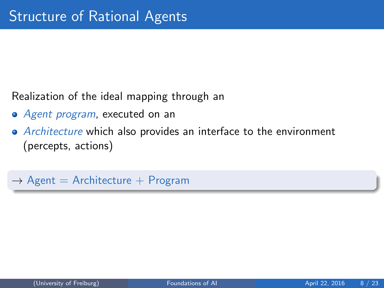Realization of the ideal mapping through an

- Agent program, executed on an
- Architecture which also provides an interface to the environment (percepts, actions)

<span id="page-7-0"></span> $\rightarrow$  Agent = Architecture + Program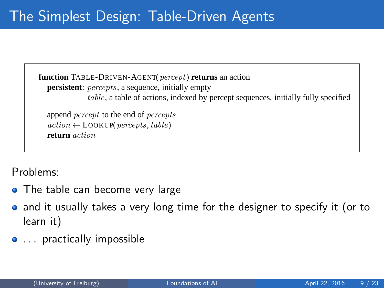**function** TABLE-DRIVEN-AGENT(*percept*) **returns** an action **persistent**: *percepts*, a sequence, initially empty table, a table of actions, indexed by percept sequences, initially fully specified

append percept to the end of percepts  $action \leftarrow \text{LOOKUP}(percepts, table)$ **return** action

 $\mathsf{R}^{\mathsf{c}}$ Problems:

- The table can become very large
- **function** REFLEX-VACUUM-AGENT([location,status]) **returns** an action and it usually takes a very long time for the designer to specify it (or to learn it)
- <span id="page-8-0"></span>... practically impossible **else if** location = A **then return** Right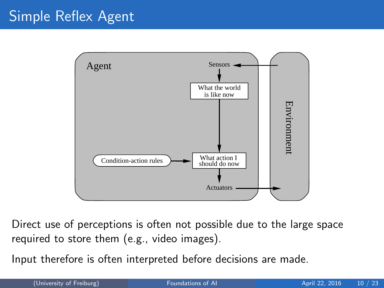# Simple Reflex Agent



Direct use of perceptions is often not possible due to the large space required to store them (e.g., video images).

Input therefore is often interpreted before decisions are made.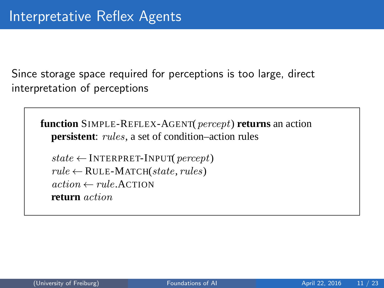Since storage space required for perceptions is too large, direct interpretation of perceptions

**function** SIMPLE-REFLEX-AGENT(percept) **returns** an action **persistent**: *rules*, a set of condition–action rules

 $state \leftarrow$  INTERPRET-INPUT(*percept*)  $rule \leftarrow$  RULE-MATCH(state, rules)  $action \leftarrow rule$  ACTION **return** action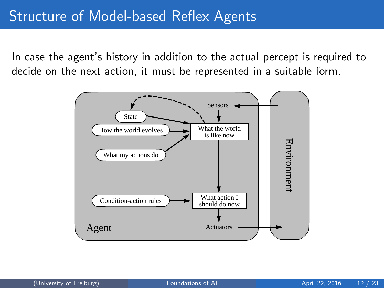In case the agent's history in addition to the actual percept is required to decide on the next action, it must be represented in a suitable form.

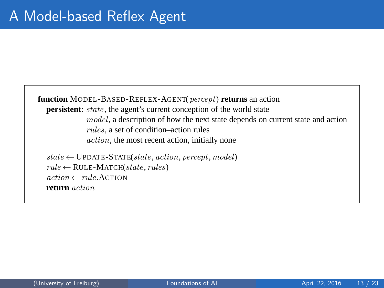**function** MODEL-BASED-REFLEX-AGENT(percept) **returns** an action **persistent**: *state*, the agent's current conception of the world state model, a description of how the next state depends on current state and action rules, a set of condition–action rules action, the most recent action, initially none  $state \leftarrow \text{UPDATE-STATE}(state, action, percept, model)$ 

 $rule \leftarrow$  RULE-MATCH(state, rules)  $action \leftarrow rule$  ACTION **return** action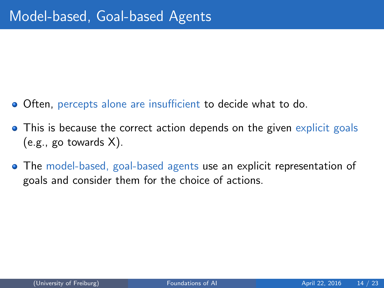- Often, percepts alone are insufficient to decide what to do.
- This is because the correct action depends on the given explicit goals (e.g., go towards X).
- The model-based, goal-based agents use an explicit representation of goals and consider them for the choice of actions.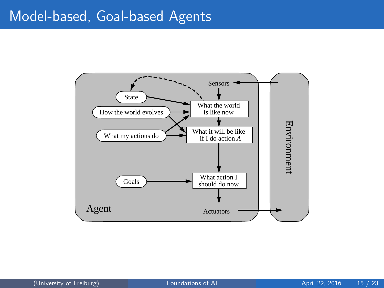### Model-based, Goal-based Agents

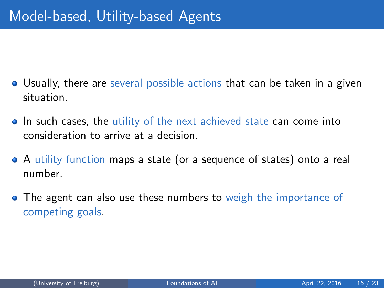- Usually, there are several possible actions that can be taken in a given situation.
- In such cases, the utility of the next achieved state can come into consideration to arrive at a decision.
- A utility function maps a state (or a sequence of states) onto a real number.
- The agent can also use these numbers to weigh the importance of competing goals.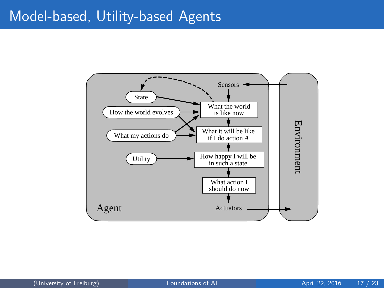### Model-based, Utility-based Agents

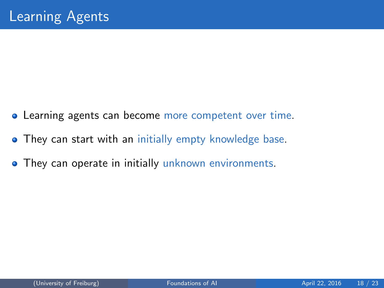- Learning agents can become more competent over time.
- **They can start with an initially empty knowledge base.**
- **They can operate in initially unknown environments.**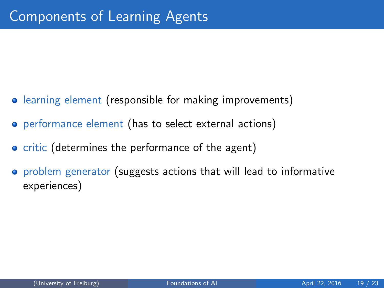- learning element (responsible for making improvements)
- **•** performance element (has to select external actions)
- **•** critic (determines the performance of the agent)
- problem generator (suggests actions that will lead to informative experiences)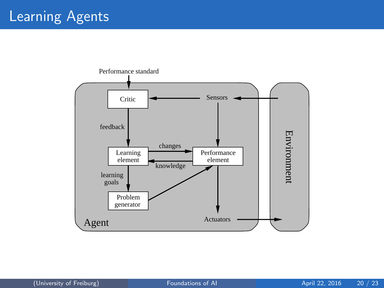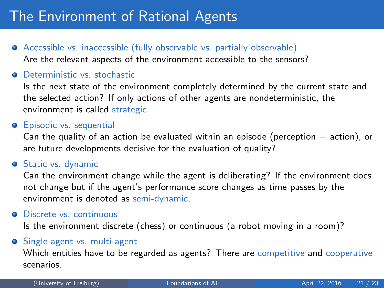# The Environment of Rational Agents

- Accessible vs. inaccessible (fully observable vs. partially observable) Are the relevant aspects of the environment accessible to the sensors?
- **O** Deterministic vs. stochastic

Is the next state of the environment completely determined by the current state and the selected action? If only actions of other agents are nondeterministic, the environment is called strategic.

#### **•** Episodic vs. sequential

Can the quality of an action be evaluated within an episode (perception  $+$  action), or are future developments decisive for the evaluation of quality?

#### **Static vs. dynamic**

Can the environment change while the agent is deliberating? If the environment does not change but if the agent's performance score changes as time passes by the environment is denoted as semi-dynamic.

#### **O** Discrete vs. continuous

Is the environment discrete (chess) or continuous (a robot moving in a room)?

#### **•** Single agent vs. multi-agent

<span id="page-20-0"></span>Which entities have to be regarded as agents? There are competitive and cooperative scenarios.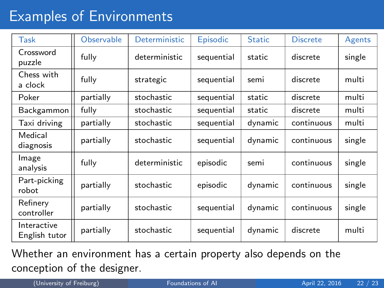# Examples of Environments

| Task                         | <b>Observable</b> | <b>Deterministic</b> | Episodic   | <b>Static</b> | <b>Discrete</b> | Agents |
|------------------------------|-------------------|----------------------|------------|---------------|-----------------|--------|
| Crossword<br>puzzle          | fully             | deterministic        | sequential | static        | discrete        | single |
| Chess with<br>a clock        | fully             | strategic            | sequential | semi          | discrete        | multi  |
| Poker                        | partially         | stochastic           | sequential | static        | discrete        | multi  |
| Backgammon                   | fully             | stochastic           | sequential | static        | discrete        | multi  |
| Taxi driving                 | partially         | stochastic           | sequential | dynamic       | continuous      | multi  |
| Medical<br>diagnosis         | partially         | stochastic           | sequential | dynamic       | continuous      | single |
| Image<br>analysis            | fully             | deterministic        | episodic   | semi          | continuous      | single |
| Part-picking<br>robot        | partially         | stochastic           | episodic   | dynamic       | continuous      | single |
| Refinery<br>controller       | partially         | stochastic           | sequential | dynamic       | continuous      | single |
| Interactive<br>English tutor | partially         | stochastic           | sequential | dynamic       | discrete        | multi  |

Whether an environment has a certain property also depends on the conception of the designer.